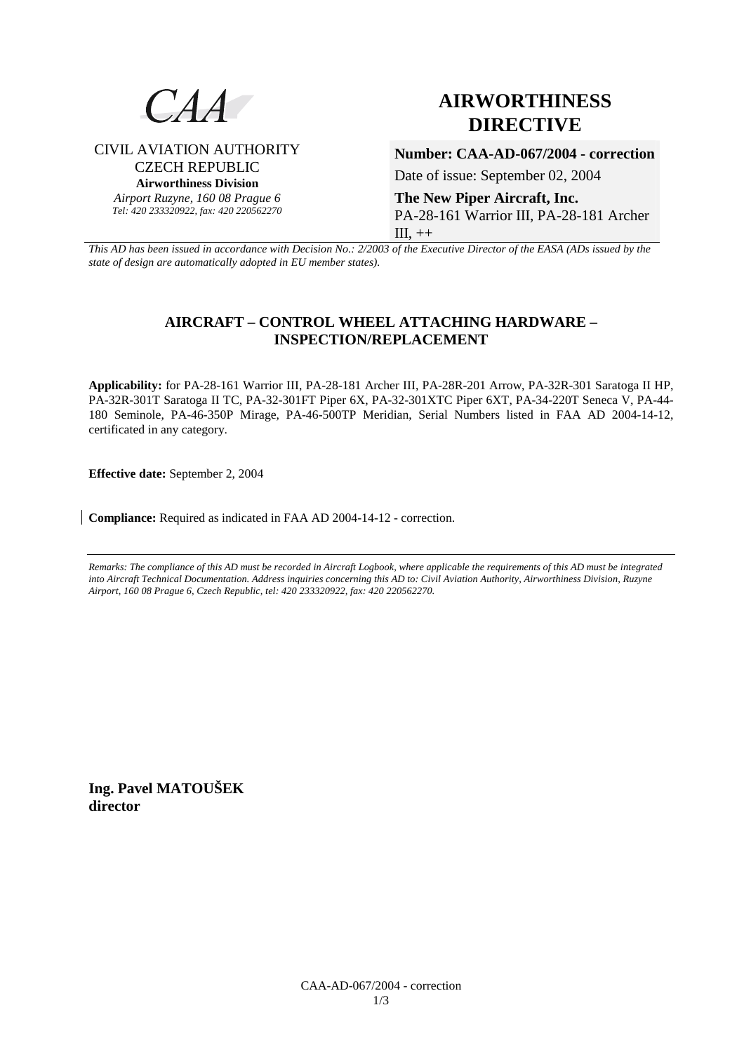

CIVIL AVIATION AUTHORITY CZECH REPUBLIC **Airworthiness Division**  *Airport Ruzyne, 160 08 Prague 6 Tel: 420 233320922, fax: 420 220562270*

# **AIRWORTHINESS DIRECTIVE**

**Number: CAA-AD-067/2004 - correction**

Date of issue: September 02, 2004

**The New Piper Aircraft, Inc.**  PA-28-161 Warrior III, PA-28-181 Archer  $III, ++$ 

*This AD has been issued in accordance with Decision No.: 2/2003 of the Executive Director of the EASA (ADs issued by the state of design are automatically adopted in EU member states).*

# **AIRCRAFT – CONTROL WHEEL ATTACHING HARDWARE – INSPECTION/REPLACEMENT**

**Applicability:** for PA-28-161 Warrior III, PA-28-181 Archer III, PA-28R-201 Arrow, PA-32R-301 Saratoga II HP, PA-32R-301T Saratoga II TC, PA-32-301FT Piper 6X, PA-32-301XTC Piper 6XT, PA-34-220T Seneca V, PA-44- 180 Seminole, PA-46-350P Mirage, PA-46-500TP Meridian, Serial Numbers listed in FAA AD 2004-14-12, certificated in any category.

**Effective date:** September 2, 2004

**Compliance:** Required as indicated in FAA AD 2004-14-12 - correction.

*Remarks: The compliance of this AD must be recorded in Aircraft Logbook, where applicable the requirements of this AD must be integrated into Aircraft Technical Documentation. Address inquiries concerning this AD to: Civil Aviation Authority, Airworthiness Division, Ruzyne Airport, 160 08 Prague 6, Czech Republic, tel: 420 233320922, fax: 420 220562270.* 

**Ing. Pavel MATOUŠEK director**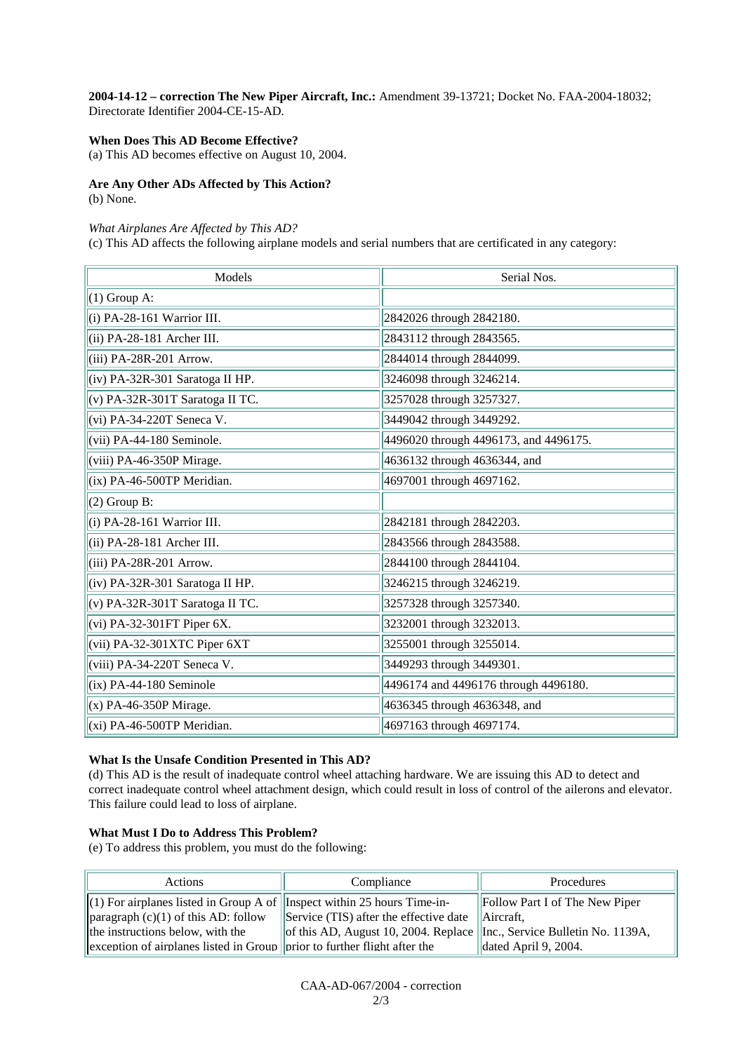**2004-14-12 – correction The New Piper Aircraft, Inc.:** Amendment 39-13721; Docket No. FAA-2004-18032; Directorate Identifier 2004-CE-15-AD.

#### **When Does This AD Become Effective?**

(a) This AD becomes effective on August 10, 2004.

## **Are Any Other ADs Affected by This Action?**

(b) None.

#### *What Airplanes Are Affected by This AD?*

(c) This AD affects the following airplane models and serial numbers that are certificated in any category:

| Models                            | Serial Nos.                           |
|-----------------------------------|---------------------------------------|
| $(1)$ Group A:                    |                                       |
| $(i)$ PA-28-161 Warrior III.      | 2842026 through 2842180.              |
| (ii) PA-28-181 Archer III.        | 2843112 through 2843565.              |
| (iii) PA-28R-201 Arrow.           | 2844014 through 2844099.              |
| (iv) PA-32R-301 Saratoga II HP.   | 3246098 through 3246214.              |
| $(v)$ PA-32R-301T Saratoga II TC. | 3257028 through 3257327.              |
| (vi) PA-34-220T Seneca V.         | 3449042 through 3449292.              |
| (vii) PA-44-180 Seminole.         | 4496020 through 4496173, and 4496175. |
| (viii) PA-46-350P Mirage.         | 4636132 through 4636344, and          |
| (ix) PA-46-500TP Meridian.        | 4697001 through 4697162.              |
| $(2)$ Group B:                    |                                       |
| $(i)$ PA-28-161 Warrior III.      | 2842181 through 2842203.              |
| $(ii) PA-28-181$ Archer III.      | 2843566 through 2843588.              |
| (iii) PA-28R-201 Arrow.           | 2844100 through 2844104.              |
| (iv) PA-32R-301 Saratoga II HP.   | 3246215 through 3246219.              |
| (v) PA-32R-301T Saratoga II TC.   | 3257328 through 3257340.              |
| $(vi)$ PA-32-301FT Piper 6X.      | 3232001 through 3232013.              |
| (vii) PA-32-301XTC Piper 6XT      | 3255001 through 3255014.              |
| (viii) PA-34-220T Seneca V.       | 3449293 through 3449301.              |
| $(ix)$ PA-44-180 Seminole         | 4496174 and 4496176 through 4496180.  |
| $(x)$ PA-46-350P Mirage.          | 4636345 through 4636348, and          |
| $(xi)$ PA-46-500TP Meridian.      | 4697163 through 4697174.              |

#### **What Is the Unsafe Condition Presented in This AD?**

(d) This AD is the result of inadequate control wheel attaching hardware. We are issuing this AD to detect and correct inadequate control wheel attachment design, which could result in loss of control of the ailerons and elevator. This failure could lead to loss of airplane.

#### **What Must I Do to Address This Problem?**

(e) To address this problem, you must do the following:

| Actions                                                                          | Compliance                                                                                 | Procedures                             |
|----------------------------------------------------------------------------------|--------------------------------------------------------------------------------------------|----------------------------------------|
| (1) For airplanes listed in Group A of <i>I</i> Inspect within 25 hours Time-in- |                                                                                            | $\vert$ Follow Part I of The New Piper |
| paragraph $(c)(1)$ of this AD: follow                                            | Service (TIS) after the effective date $\Delta$ Aircraft,                                  |                                        |
| the instructions below, with the                                                 | $\left\ $ of this AD, August 10, 2004. Replace $\left\ $ Inc., Service Bulletin No. 1139A, |                                        |
| exception of airplanes listed in Group $\ $ prior to further flight after the    |                                                                                            | dated April 9, 2004.                   |